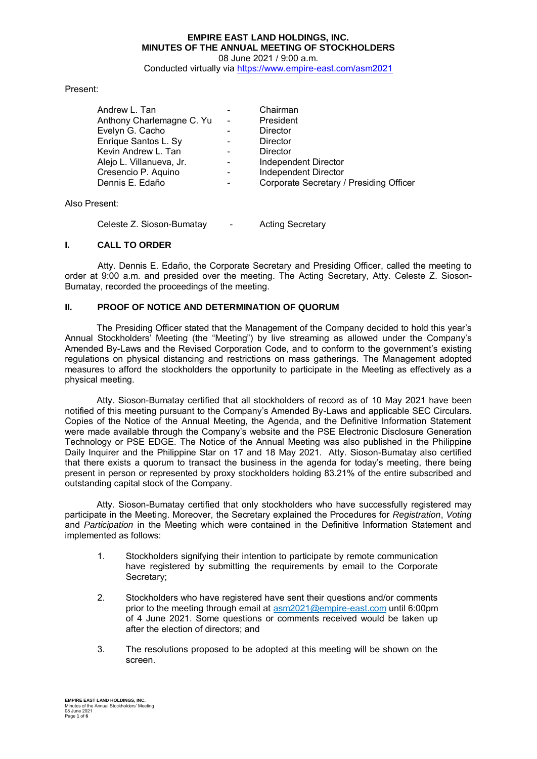#### **EMPIRE EAST LAND HOLDINGS, INC. MINUTES OF THE ANNUAL MEETING OF STOCKHOLDERS**  08 June 2021 / 9:00 a.m.

Conducted virtually via https://www.empire-east.com/asm2021

## Present:

| Andrew L. Tan             |                              | Chairman                                |
|---------------------------|------------------------------|-----------------------------------------|
| Anthony Charlemagne C. Yu | $\sim$                       | President                               |
| Evelyn G. Cacho           |                              | Director                                |
| Enrique Santos L. Sy      |                              | Director                                |
| Kevin Andrew L. Tan       |                              | Director                                |
| Alejo L. Villanueva, Jr.  |                              | Independent Director                    |
| Cresencio P. Aquino       | $\qquad \qquad \blacksquare$ | Independent Director                    |
| Dennis E. Edaño           | $\qquad \qquad \blacksquare$ | Corporate Secretary / Presiding Officer |
|                           |                              |                                         |

Also Present:

Celeste Z. Sioson-Bumatay - Acting Secretary

## **I. CALL TO ORDER**

 Atty. Dennis E. Edaño, the Corporate Secretary and Presiding Officer, called the meeting to order at 9:00 a.m. and presided over the meeting. The Acting Secretary, Atty. Celeste Z. Sioson-Bumatay, recorded the proceedings of the meeting.

## **II. PROOF OF NOTICE AND DETERMINATION OF QUORUM**

The Presiding Officer stated that the Management of the Company decided to hold this year's Annual Stockholders' Meeting (the "Meeting") by live streaming as allowed under the Company's Amended By-Laws and the Revised Corporation Code, and to conform to the government's existing regulations on physical distancing and restrictions on mass gatherings. The Management adopted measures to afford the stockholders the opportunity to participate in the Meeting as effectively as a physical meeting.

Atty. Sioson-Bumatay certified that all stockholders of record as of 10 May 2021 have been notified of this meeting pursuant to the Company's Amended By-Laws and applicable SEC Circulars. Copies of the Notice of the Annual Meeting, the Agenda, and the Definitive Information Statement were made available through the Company's website and the PSE Electronic Disclosure Generation Technology or PSE EDGE. The Notice of the Annual Meeting was also published in the Philippine Daily Inquirer and the Philippine Star on 17 and 18 May 2021. Atty. Sioson-Bumatay also certified that there exists a quorum to transact the business in the agenda for today's meeting, there being present in person or represented by proxy stockholders holding 83.21% of the entire subscribed and outstanding capital stock of the Company.

Atty. Sioson-Bumatay certified that only stockholders who have successfully registered may participate in the Meeting. Moreover, the Secretary explained the Procedures for *Registration*, *Voting* and *Participation* in the Meeting which were contained in the Definitive Information Statement and implemented as follows:

- 1. Stockholders signifying their intention to participate by remote communication have registered by submitting the requirements by email to the Corporate Secretary;
- 2. Stockholders who have registered have sent their questions and/or comments prior to the meeting through email at asm2021@empire-east.com until 6:00pm of 4 June 2021. Some questions or comments received would be taken up after the election of directors; and
- 3. The resolutions proposed to be adopted at this meeting will be shown on the screen.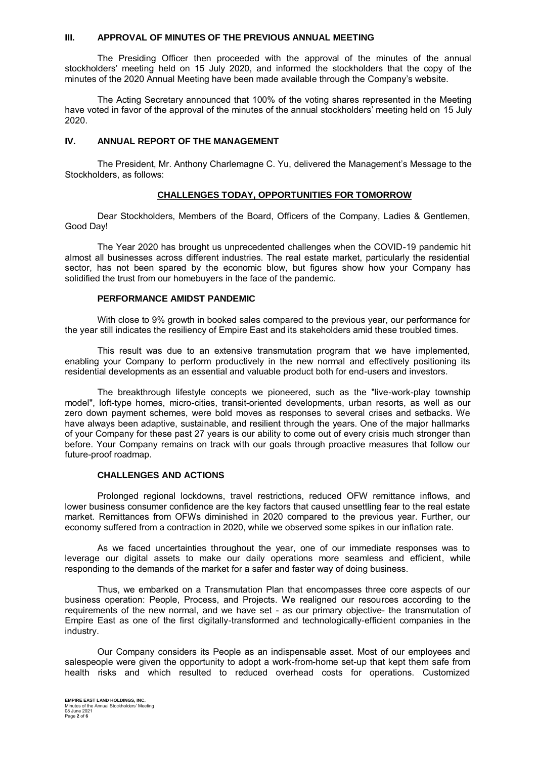## **III. APPROVAL OF MINUTES OF THE PREVIOUS ANNUAL MEETING**

The Presiding Officer then proceeded with the approval of the minutes of the annual stockholders' meeting held on 15 July 2020, and informed the stockholders that the copy of the minutes of the 2020 Annual Meeting have been made available through the Company's website.

The Acting Secretary announced that 100% of the voting shares represented in the Meeting have voted in favor of the approval of the minutes of the annual stockholders' meeting held on 15 July 2020.

## **IV. ANNUAL REPORT OF THE MANAGEMENT**

The President, Mr. Anthony Charlemagne C. Yu, delivered the Management's Message to the Stockholders, as follows:

## **CHALLENGES TODAY, OPPORTUNITIES FOR TOMORROW**

Dear Stockholders, Members of the Board, Officers of the Company, Ladies & Gentlemen, Good Day!

The Year 2020 has brought us unprecedented challenges when the COVID-19 pandemic hit almost all businesses across different industries. The real estate market, particularly the residential sector, has not been spared by the economic blow, but figures show how your Company has solidified the trust from our homebuyers in the face of the pandemic.

#### **PERFORMANCE AMIDST PANDEMIC**

With close to 9% growth in booked sales compared to the previous year, our performance for the year still indicates the resiliency of Empire East and its stakeholders amid these troubled times.

This result was due to an extensive transmutation program that we have implemented, enabling your Company to perform productively in the new normal and effectively positioning its residential developments as an essential and valuable product both for end-users and investors.

The breakthrough lifestyle concepts we pioneered, such as the "live-work-play township model", loft-type homes, micro-cities, transit-oriented developments, urban resorts, as well as our zero down payment schemes, were bold moves as responses to several crises and setbacks. We have always been adaptive, sustainable, and resilient through the years. One of the major hallmarks of your Company for these past 27 years is our ability to come out of every crisis much stronger than before. Your Company remains on track with our goals through proactive measures that follow our future-proof roadmap.

#### **CHALLENGES AND ACTIONS**

Prolonged regional lockdowns, travel restrictions, reduced OFW remittance inflows, and lower business consumer confidence are the key factors that caused unsettling fear to the real estate market. Remittances from OFWs diminished in 2020 compared to the previous year. Further, our economy suffered from a contraction in 2020, while we observed some spikes in our inflation rate.

As we faced uncertainties throughout the year, one of our immediate responses was to leverage our digital assets to make our daily operations more seamless and efficient, while responding to the demands of the market for a safer and faster way of doing business.

Thus, we embarked on a Transmutation Plan that encompasses three core aspects of our business operation: People, Process, and Projects. We realigned our resources according to the requirements of the new normal, and we have set - as our primary objective- the transmutation of Empire East as one of the first digitally-transformed and technologically-efficient companies in the industry.

Our Company considers its People as an indispensable asset. Most of our employees and salespeople were given the opportunity to adopt a work-from-home set-up that kept them safe from health risks and which resulted to reduced overhead costs for operations. Customized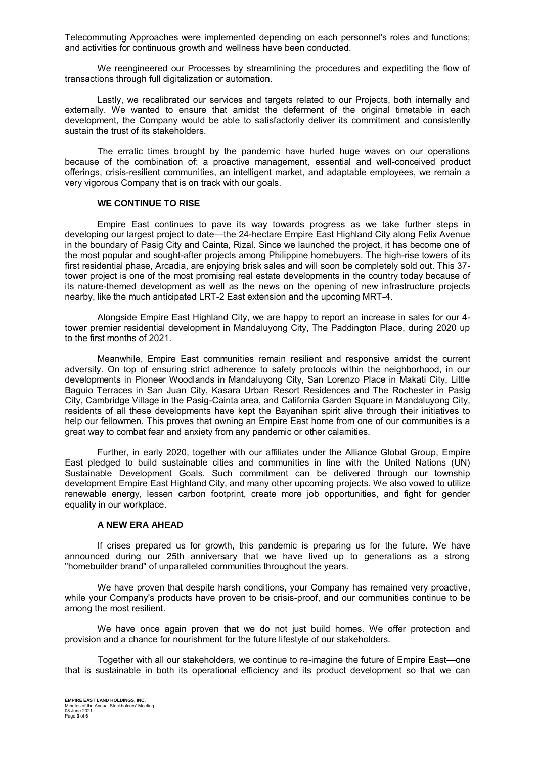Telecommuting Approaches were implemented depending on each personnel's roles and functions; and activities for continuous growth and wellness have been conducted.

We reengineered our Processes by streamlining the procedures and expediting the flow of transactions through full digitalization or automation.

Lastly, we recalibrated our services and targets related to our Projects, both internally and externally. We wanted to ensure that amidst the deferment of the original timetable in each development, the Company would be able to satisfactorily deliver its commitment and consistently sustain the trust of its stakeholders.

The erratic times brought by the pandemic have hurled huge waves on our operations because of the combination of: a proactive management, essential and well-conceived product offerings, crisis-resilient communities, an intelligent market, and adaptable employees, we remain a very vigorous Company that is on track with our goals.

#### **WE CONTINUE TO RISE**

Empire East continues to pave its way towards progress as we take further steps in developing our largest project to date—the 24-hectare Empire East Highland City along Felix Avenue in the boundary of Pasig City and Cainta, Rizal. Since we launched the project, it has become one of the most popular and sought-after projects among Philippine homebuyers. The high-rise towers of its first residential phase, Arcadia, are enjoying brisk sales and will soon be completely sold out. This 37 tower project is one of the most promising real estate developments in the country today because of its nature-themed development as well as the news on the opening of new infrastructure projects nearby, like the much anticipated LRT-2 East extension and the upcoming MRT-4.

Alongside Empire East Highland City, we are happy to report an increase in sales for our 4 tower premier residential development in Mandaluyong City, The Paddington Place, during 2020 up to the first months of 2021.

Meanwhile, Empire East communities remain resilient and responsive amidst the current adversity. On top of ensuring strict adherence to safety protocols within the neighborhood, in our developments in Pioneer Woodlands in Mandaluyong City, San Lorenzo Place in Makati City, Little Baguio Terraces in San Juan City, Kasara Urban Resort Residences and The Rochester in Pasig City, Cambridge Village in the Pasig-Cainta area, and California Garden Square in Mandaluyong City, residents of all these developments have kept the Bayanihan spirit alive through their initiatives to help our fellowmen. This proves that owning an Empire East home from one of our communities is a great way to combat fear and anxiety from any pandemic or other calamities.

Further, in early 2020, together with our affiliates under the Alliance Global Group, Empire East pledged to build sustainable cities and communities in line with the United Nations (UN) Sustainable Development Goals. Such commitment can be delivered through our township development Empire East Highland City, and many other upcoming projects. We also vowed to utilize renewable energy, lessen carbon footprint, create more job opportunities, and fight for gender equality in our workplace.

#### **A NEW ERA AHEAD**

If crises prepared us for growth, this pandemic is preparing us for the future. We have announced during our 25th anniversary that we have lived up to generations as a strong "homebuilder brand" of unparalleled communities throughout the years.

We have proven that despite harsh conditions, your Company has remained very proactive, while your Company's products have proven to be crisis-proof, and our communities continue to be among the most resilient.

We have once again proven that we do not just build homes. We offer protection and provision and a chance for nourishment for the future lifestyle of our stakeholders.

Together with all our stakeholders, we continue to re-imagine the future of Empire East—one that is sustainable in both its operational efficiency and its product development so that we can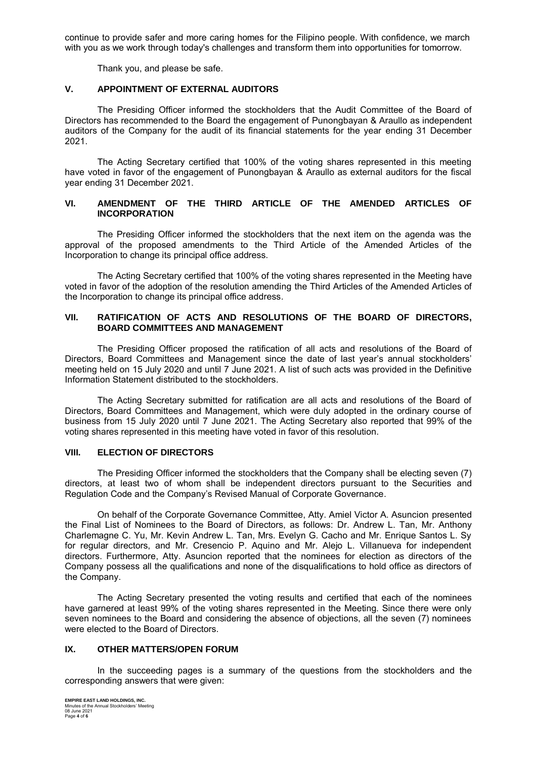continue to provide safer and more caring homes for the Filipino people. With confidence, we march with you as we work through today's challenges and transform them into opportunities for tomorrow.

Thank you, and please be safe.

# **V. APPOINTMENT OF EXTERNAL AUDITORS**

The Presiding Officer informed the stockholders that the Audit Committee of the Board of Directors has recommended to the Board the engagement of Punongbayan & Araullo as independent auditors of the Company for the audit of its financial statements for the year ending 31 December 2021.

The Acting Secretary certified that 100% of the voting shares represented in this meeting have voted in favor of the engagement of Punongbayan & Araullo as external auditors for the fiscal year ending 31 December 2021.

## **VI. AMENDMENT OF THE THIRD ARTICLE OF THE AMENDED ARTICLES OF INCORPORATION**

 The Presiding Officer informed the stockholders that the next item on the agenda was the approval of the proposed amendments to the Third Article of the Amended Articles of the Incorporation to change its principal office address.

The Acting Secretary certified that 100% of the voting shares represented in the Meeting have voted in favor of the adoption of the resolution amending the Third Articles of the Amended Articles of the Incorporation to change its principal office address.

## **VII. RATIFICATION OF ACTS AND RESOLUTIONS OF THE BOARD OF DIRECTORS, BOARD COMMITTEES AND MANAGEMENT**

The Presiding Officer proposed the ratification of all acts and resolutions of the Board of Directors, Board Committees and Management since the date of last year's annual stockholders' meeting held on 15 July 2020 and until 7 June 2021. A list of such acts was provided in the Definitive Information Statement distributed to the stockholders.

The Acting Secretary submitted for ratification are all acts and resolutions of the Board of Directors, Board Committees and Management, which were duly adopted in the ordinary course of business from 15 July 2020 until 7 June 2021. The Acting Secretary also reported that 99% of the voting shares represented in this meeting have voted in favor of this resolution.

## **VIII. ELECTION OF DIRECTORS**

The Presiding Officer informed the stockholders that the Company shall be electing seven (7) directors, at least two of whom shall be independent directors pursuant to the Securities and Regulation Code and the Company's Revised Manual of Corporate Governance.

On behalf of the Corporate Governance Committee, Atty. Amiel Victor A. Asuncion presented the Final List of Nominees to the Board of Directors, as follows: Dr. Andrew L. Tan, Mr. Anthony Charlemagne C. Yu, Mr. Kevin Andrew L. Tan, Mrs. Evelyn G. Cacho and Mr. Enrique Santos L. Sy for regular directors, and Mr. Cresencio P. Aquino and Mr. Alejo L. Villanueva for independent directors. Furthermore, Atty. Asuncion reported that the nominees for election as directors of the Company possess all the qualifications and none of the disqualifications to hold office as directors of the Company.

The Acting Secretary presented the voting results and certified that each of the nominees have garnered at least 99% of the voting shares represented in the Meeting. Since there were only seven nominees to the Board and considering the absence of objections, all the seven (7) nominees were elected to the Board of Directors.

## **IX. OTHER MATTERS/OPEN FORUM**

In the succeeding pages is a summary of the questions from the stockholders and the corresponding answers that were given: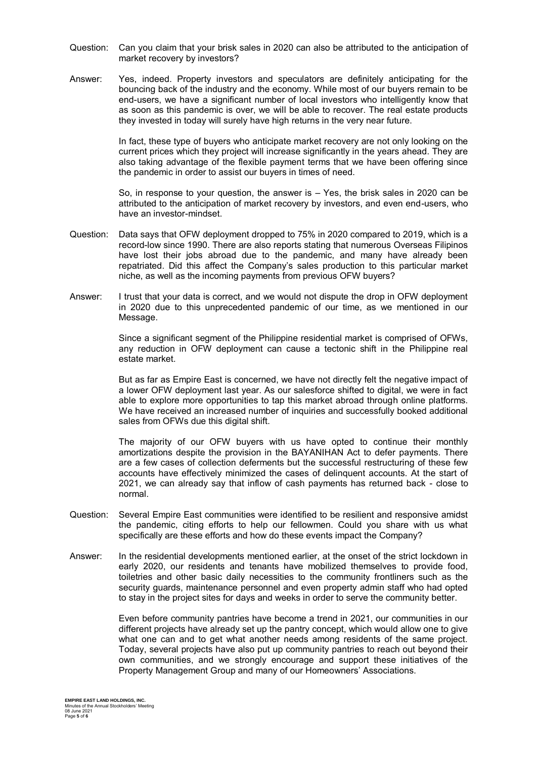- Question: Can you claim that your brisk sales in 2020 can also be attributed to the anticipation of market recovery by investors?
- Answer: Yes, indeed. Property investors and speculators are definitely anticipating for the bouncing back of the industry and the economy. While most of our buyers remain to be end-users, we have a significant number of local investors who intelligently know that as soon as this pandemic is over, we will be able to recover. The real estate products they invested in today will surely have high returns in the very near future.

In fact, these type of buyers who anticipate market recovery are not only looking on the current prices which they project will increase significantly in the years ahead. They are also taking advantage of the flexible payment terms that we have been offering since the pandemic in order to assist our buyers in times of need.

So, in response to your question, the answer is – Yes, the brisk sales in 2020 can be attributed to the anticipation of market recovery by investors, and even end-users, who have an investor-mindset.

- Question: Data says that OFW deployment dropped to 75% in 2020 compared to 2019, which is a record-low since 1990. There are also reports stating that numerous Overseas Filipinos have lost their jobs abroad due to the pandemic, and many have already been repatriated. Did this affect the Company's sales production to this particular market niche, as well as the incoming payments from previous OFW buyers?
- Answer: I trust that your data is correct, and we would not dispute the drop in OFW deployment in 2020 due to this unprecedented pandemic of our time, as we mentioned in our Message.

Since a significant segment of the Philippine residential market is comprised of OFWs, any reduction in OFW deployment can cause a tectonic shift in the Philippine real estate market.

But as far as Empire East is concerned, we have not directly felt the negative impact of a lower OFW deployment last year. As our salesforce shifted to digital, we were in fact able to explore more opportunities to tap this market abroad through online platforms. We have received an increased number of inquiries and successfully booked additional sales from OFWs due this digital shift.

The majority of our OFW buyers with us have opted to continue their monthly amortizations despite the provision in the BAYANIHAN Act to defer payments. There are a few cases of collection deferments but the successful restructuring of these few accounts have effectively minimized the cases of delinquent accounts. At the start of 2021, we can already say that inflow of cash payments has returned back - close to normal.

- Question: Several Empire East communities were identified to be resilient and responsive amidst the pandemic, citing efforts to help our fellowmen. Could you share with us what specifically are these efforts and how do these events impact the Company?
- Answer: In the residential developments mentioned earlier, at the onset of the strict lockdown in early 2020, our residents and tenants have mobilized themselves to provide food, toiletries and other basic daily necessities to the community frontliners such as the security quards, maintenance personnel and even property admin staff who had opted to stay in the project sites for days and weeks in order to serve the community better.

Even before community pantries have become a trend in 2021, our communities in our different projects have already set up the pantry concept, which would allow one to give what one can and to get what another needs among residents of the same project. Today, several projects have also put up community pantries to reach out beyond their own communities, and we strongly encourage and support these initiatives of the Property Management Group and many of our Homeowners' Associations.